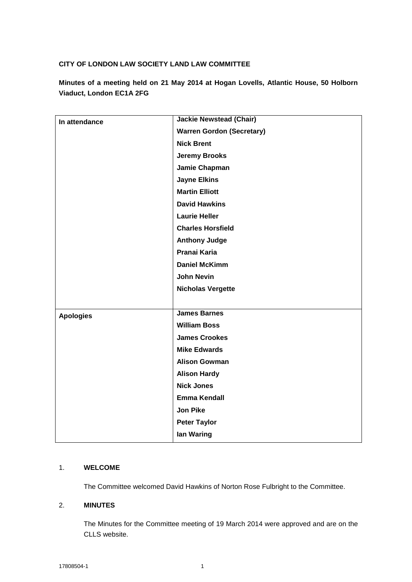### **CITY OF LONDON LAW SOCIETY LAND LAW COMMITTEE**

**Minutes of a meeting held on 21 May 2014 at Hogan Lovells, Atlantic House, 50 Holborn Viaduct, London EC1A 2FG**

| In attendance    | <b>Jackie Newstead (Chair)</b>   |
|------------------|----------------------------------|
|                  | <b>Warren Gordon (Secretary)</b> |
|                  | <b>Nick Brent</b>                |
|                  | <b>Jeremy Brooks</b>             |
|                  | Jamie Chapman                    |
|                  | <b>Jayne Elkins</b>              |
|                  | <b>Martin Elliott</b>            |
|                  | <b>David Hawkins</b>             |
|                  | <b>Laurie Heller</b>             |
|                  | <b>Charles Horsfield</b>         |
|                  | <b>Anthony Judge</b>             |
|                  | Pranai Karia                     |
|                  | <b>Daniel McKimm</b>             |
|                  | <b>John Nevin</b>                |
|                  | <b>Nicholas Vergette</b>         |
|                  |                                  |
| <b>Apologies</b> | <b>James Barnes</b>              |
|                  | <b>William Boss</b>              |
|                  | <b>James Crookes</b>             |
|                  | <b>Mike Edwards</b>              |
|                  | <b>Alison Gowman</b>             |
|                  | <b>Alison Hardy</b>              |
|                  | <b>Nick Jones</b>                |
|                  | <b>Emma Kendall</b>              |
|                  | <b>Jon Pike</b>                  |
|                  | <b>Peter Taylor</b>              |
|                  | <b>Ian Waring</b>                |

### 1. **WELCOME**

The Committee welcomed David Hawkins of Norton Rose Fulbright to the Committee.

#### 2. **MINUTES**

The Minutes for the Committee meeting of 19 March 2014 were approved and are on the CLLS website.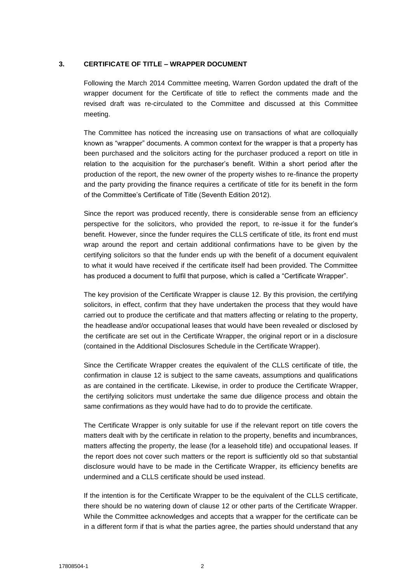#### **3. CERTIFICATE OF TITLE – WRAPPER DOCUMENT**

Following the March 2014 Committee meeting, Warren Gordon updated the draft of the wrapper document for the Certificate of title to reflect the comments made and the revised draft was re-circulated to the Committee and discussed at this Committee meeting.

The Committee has noticed the increasing use on transactions of what are colloquially known as "wrapper" documents. A common context for the wrapper is that a property has been purchased and the solicitors acting for the purchaser produced a report on title in relation to the acquisition for the purchaser's benefit. Within a short period after the production of the report, the new owner of the property wishes to re-finance the property and the party providing the finance requires a certificate of title for its benefit in the form of the Committee's Certificate of Title (Seventh Edition 2012).

Since the report was produced recently, there is considerable sense from an efficiency perspective for the solicitors, who provided the report, to re-issue it for the funder's benefit. However, since the funder requires the CLLS certificate of title, its front end must wrap around the report and certain additional confirmations have to be given by the certifying solicitors so that the funder ends up with the benefit of a document equivalent to what it would have received if the certificate itself had been provided. The Committee has produced a document to fulfil that purpose, which is called a "Certificate Wrapper".

The key provision of the Certificate Wrapper is clause 12. By this provision, the certifying solicitors, in effect, confirm that they have undertaken the process that they would have carried out to produce the certificate and that matters affecting or relating to the property, the headlease and/or occupational leases that would have been revealed or disclosed by the certificate are set out in the Certificate Wrapper, the original report or in a disclosure (contained in the Additional Disclosures Schedule in the Certificate Wrapper).

Since the Certificate Wrapper creates the equivalent of the CLLS certificate of title, the confirmation in clause 12 is subject to the same caveats, assumptions and qualifications as are contained in the certificate. Likewise, in order to produce the Certificate Wrapper, the certifying solicitors must undertake the same due diligence process and obtain the same confirmations as they would have had to do to provide the certificate.

The Certificate Wrapper is only suitable for use if the relevant report on title covers the matters dealt with by the certificate in relation to the property, benefits and incumbrances, matters affecting the property, the lease (for a leasehold title) and occupational leases. If the report does not cover such matters or the report is sufficiently old so that substantial disclosure would have to be made in the Certificate Wrapper, its efficiency benefits are undermined and a CLLS certificate should be used instead.

If the intention is for the Certificate Wrapper to be the equivalent of the CLLS certificate, there should be no watering down of clause 12 or other parts of the Certificate Wrapper. While the Committee acknowledges and accepts that a wrapper for the certificate can be in a different form if that is what the parties agree, the parties should understand that any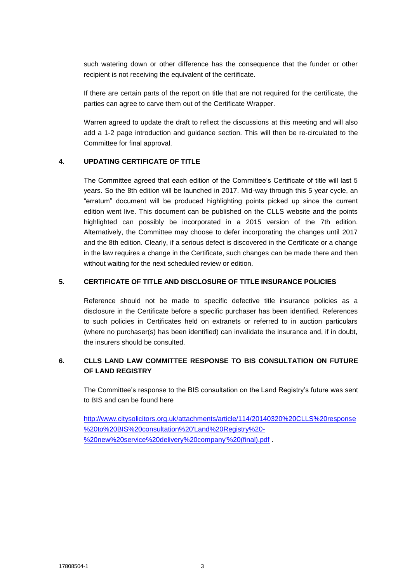such watering down or other difference has the consequence that the funder or other recipient is not receiving the equivalent of the certificate.

If there are certain parts of the report on title that are not required for the certificate, the parties can agree to carve them out of the Certificate Wrapper.

Warren agreed to update the draft to reflect the discussions at this meeting and will also add a 1-2 page introduction and guidance section. This will then be re-circulated to the Committee for final approval.

#### **4**. **UPDATING CERTIFICATE OF TITLE**

The Committee agreed that each edition of the Committee's Certificate of title will last 5 years. So the 8th edition will be launched in 2017. Mid-way through this 5 year cycle, an "erratum" document will be produced highlighting points picked up since the current edition went live. This document can be published on the CLLS website and the points highlighted can possibly be incorporated in a 2015 version of the 7th edition. Alternatively, the Committee may choose to defer incorporating the changes until 2017 and the 8th edition. Clearly, if a serious defect is discovered in the Certificate or a change in the law requires a change in the Certificate, such changes can be made there and then without waiting for the next scheduled review or edition.

#### **5. CERTIFICATE OF TITLE AND DISCLOSURE OF TITLE INSURANCE POLICIES**

Reference should not be made to specific defective title insurance policies as a disclosure in the Certificate before a specific purchaser has been identified. References to such policies in Certificates held on extranets or referred to in auction particulars (where no purchaser(s) has been identified) can invalidate the insurance and, if in doubt, the insurers should be consulted.

### **6. CLLS LAND LAW COMMITTEE RESPONSE TO BIS CONSULTATION ON FUTURE OF LAND REGISTRY**

The Committee's response to the BIS consultation on the Land Registry's future was sent to BIS and can be found here

[http://www.citysolicitors.org.uk/attachments/article/114/20140320%20CLLS%20response](http://www.citysolicitors.org.uk/attachments/article/114/20140320%20CLLS%20response%20to%20BIS%20consultation%20) [%20to%20BIS%20consultation%20'Land%20Registry%20-](http://www.citysolicitors.org.uk/attachments/article/114/20140320%20CLLS%20response%20to%20BIS%20consultation%20) [%20new%20service%20delivery%20company'%20\(final\).pdf](http://www.citysolicitors.org.uk/attachments/article/114/20140320%20CLLS%20response%20to%20BIS%20consultation%20) .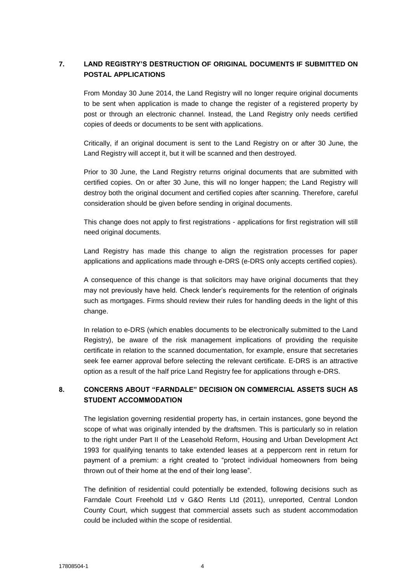# **7. LAND REGISTRY'S DESTRUCTION OF ORIGINAL DOCUMENTS IF SUBMITTED ON POSTAL APPLICATIONS**

From Monday 30 June 2014, the Land Registry will no longer require original documents to be sent when application is made to change the register of a registered property by post or through an electronic channel. Instead, the Land Registry only needs certified copies of deeds or documents to be sent with applications.

Critically, if an original document is sent to the Land Registry on or after 30 June, the Land Registry will accept it, but it will be scanned and then destroyed.

Prior to 30 June, the Land Registry returns original documents that are submitted with certified copies. On or after 30 June, this will no longer happen; the Land Registry will destroy both the original document and certified copies after scanning. Therefore, careful consideration should be given before sending in original documents.

This change does not apply to first registrations - applications for first registration will still need original documents.

Land Registry has made this change to align the registration processes for paper applications and applications made through e-DRS (e-DRS only accepts certified copies).

A consequence of this change is that solicitors may have original documents that they may not previously have held. Check lender's requirements for the retention of originals such as mortgages. Firms should review their rules for handling deeds in the light of this change.

In relation to e-DRS (which enables documents to be electronically submitted to the Land Registry), be aware of the risk management implications of providing the requisite certificate in relation to the scanned documentation, for example, ensure that secretaries seek fee earner approval before selecting the relevant certificate. E-DRS is an attractive option as a result of the half price Land Registry fee for applications through e-DRS.

# **8. CONCERNS ABOUT "FARNDALE" DECISION ON COMMERCIAL ASSETS SUCH AS STUDENT ACCOMMODATION**

The legislation governing residential property has, in certain instances, gone beyond the scope of what was originally intended by the draftsmen. This is particularly so in relation to the right under Part II of the Leasehold Reform, Housing and Urban Development Act 1993 for qualifying tenants to take extended leases at a peppercorn rent in return for payment of a premium: a right created to "protect individual homeowners from being thrown out of their home at the end of their long lease".

The definition of residential could potentially be extended, following decisions such as Farndale Court Freehold Ltd v G&O Rents Ltd (2011), unreported, Central London County Court, which suggest that commercial assets such as student accommodation could be included within the scope of residential.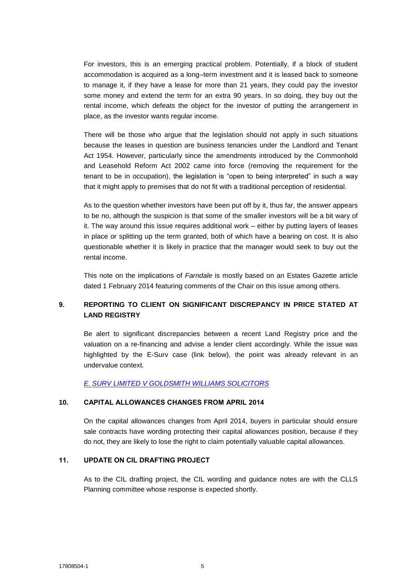For investors, this is an emerging practical problem. Potentially, if a block of student accommodation is acquired as a long–term investment and it is leased back to someone to manage it, if they have a lease for more than 21 years, they could pay the investor some money and extend the term for an extra 90 years. In so doing, they buy out the rental income, which defeats the object for the investor of putting the arrangement in place, as the investor wants regular income.

There will be those who argue that the legislation should not apply in such situations because the leases in question are business tenancies under the Landlord and Tenant Act 1954. However, particularly since the amendments introduced by the Commonhold and Leasehold Reform Act 2002 came into force (removing the requirement for the tenant to be in occupation), the legislation is "open to being interpreted" in such a way that it might apply to premises that do not fit with a traditional perception of residential.

As to the question whether investors have been put off by it, thus far, the answer appears to be no, although the suspicion is that some of the smaller investors will be a bit wary of it. The way around this issue requires additional work – either by putting layers of leases in place or splitting up the term granted, both of which have a bearing on cost. It is also questionable whether it is likely in practice that the manager would seek to buy out the rental income.

This note on the implications of *Farndale* is mostly based on an Estates Gazette article dated 1 February 2014 featuring comments of the Chair on this issue among others.

# **9. REPORTING TO CLIENT ON SIGNIFICANT DISCREPANCY IN PRICE STATED AT LAND REGISTRY**

Be alert to significant discrepancies between a recent Land Registry price and the valuation on a re-financing and advise a lender client accordingly. While the issue was highlighted by the E-Surv case (link below), the point was already relevant in an undervalue context.

*[E. SURV LIMITED V GOLDSMITH WILLIAMS SOLICITORS](http://www.bailii.org/cgi-bin/markup.cgi?doc=/ew/cases/EWHC/Ch/2014/1104.html&query=title+(+e.surv+)&method=boolean)*

### **10. CAPITAL ALLOWANCES CHANGES FROM APRIL 2014**

On the capital allowances changes from April 2014, buyers in particular should ensure sale contracts have wording protecting their capital allowances position, because if they do not, they are likely to lose the right to claim potentially valuable capital allowances.

### **11. UPDATE ON CIL DRAFTING PROJECT**

As to the CIL drafting project, the CIL wording and guidance notes are with the CLLS Planning committee whose response is expected shortly.